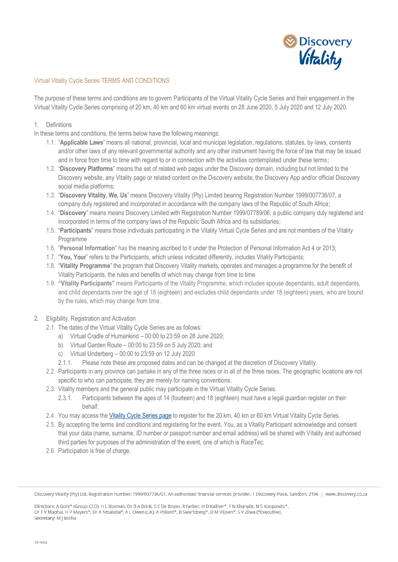

## Virtual Vitality Cycle Series TERMS AND CONDITIONS

The purpose of these terms and conditions are to govern Participants of the Virtual Vitality Cycle Series and their engagement in the Virtual Vitality Cycle Series comprising of 20 km, 40 km and 60 km virtual events on 28 June 2020, 5 July 2020 and 12 July 2020.

## 1. Definitions

In these terms and conditions, the terms below have the following meanings:

- 1.1. "**Applicable Laws**" means all national, provincial, local and municipal legislation, regulations, statutes, by-laws, consents and/or other laws of any relevant governmental authority and any other instrument having the force of law that may be issued and in force from time to time with regard to or in connection with the activities contemplated under these terms;
- 1.2. "**Discovery Platforms**" means the set of related web pages under the Discovery domain, including but not limited to the Discovery website, any Vitality page or related content on the Discovery website, the Discovery App and/or official Discovery social media platforms;
- 1.3. "**Discovery Vitality, We, Us**" means Discovery Vitality (Pty) Limited bearing Registration Number 1999/007736/07, a company duly registered and incorporated in accordance with the company laws of the Republic of South Africa;
- 1.4. "**Discovery**" means means Discovery Limited with Registration Number 1999/07789/06, a public company duly registered and incorporated in terms of the company laws of the Republic South Africa and its subsidiaries;
- 1.5. "**Participants**" means those individuals participating in the Vitality Virtual Cycle Series and are not members of the Vitality Programme
- 1.6. "**Personal Information**" has the meaning ascribed to it under the Protection of Personal Information Act 4 or 2013;
- 1.7. "**You, Your**" refers to the Participants, which unless indicated differently, includes Vitality Participants;
- 1.8. "**Vitality Programme**" the program that Discovery Vitality markets, operates and manages a programme for the benefit of Vitality Participants, the rules and benefits of which may change from time to time
- 1.9. **"Vitality Participants"** means Participants of the Vitality Programme, which includes spouse dependants, adult dependants, and child dependants over the age of 18 (eighteen) and excludes child dependants under 18 (eighteen) years, who are bound by the rules, which may change from time.
- 2. Eligibility, Registration and Activation
	- 2.1. The dates of the Virtual Vitality Cycle Series are as follows:
		- a) Virtual Cradle of Humankind 00:00 to 23:59 on 28 June 2020;
		- b) Virtual Garden Route 00:00 to 23:59 on 5 July 2020; and
		- c) Virtual Underberg 00:00 to 23:59 on 12 July 2020
		- 2.1.1. Please note these are proposed dates and can be changed at the discretion of Discovery Vitality.
	- 2.2. Participants in any province can partake in any of the three races or in all of the three races. The geographic locations are not specific to who can participate, they are merely for naming conventions.
	- 2.3. Vitality members and the general public may participate in the Virtual Vitality Cycle Series.
		- 2.3.1. Participants between the ages of 14 (fourteen) and 18 (eighteen) must have a legal guardian register on their behalf.
	- 2.4. You may access th[e Vitality Cycle](https://discovery.co.za/vitality/cycleseries) Series page to register for the 20 km, 40 km or 60 km Virtual Vitality Cycle Series.
	- 2.5. By accepting the terms and conditions and registering for the event, You, as a Vitality Participant acknowledge and consent that your data (name, surname, ID number or passport number and email address) will be shared with Vitality and authorised third parties for purposes of the administration of the event, one of which is RaceTec.
	- 2.6. Participation is free of charge.

Discovery Vitality (Pty) Ltd. Registration number: 1999/007736/07. An authorised financial services provider. 1 Discovery Place, Sandton, 2196 | www.discovery.co.za

Directors: A Gore\* (Group CEO), H L Bosman, Dr B A Brink, S E De Bruyn, R Farber, H D Kallner\*, F N Khanyile, N S Koopowitz\*, Dr T V Maphai, H P Mayers\*, Dr A Ntsaluba\*, A L Owen (UK), A Pollard\*, B Swartzberg\*, D M Viljoen\*, S V Zilwa (\*Executive). Secretary: M I Botha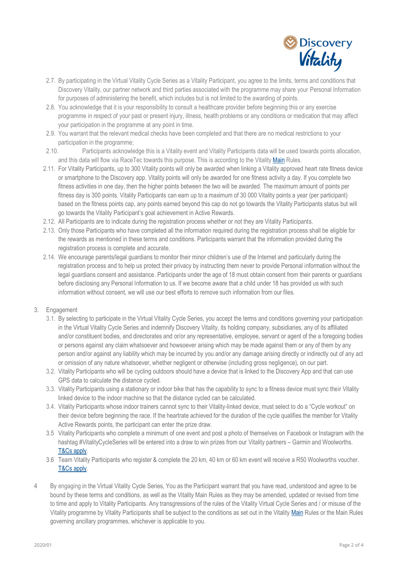

- 2.7. By participating in the Virtual Vitality Cycle Series as a Vitality Participant, you agree to the limits, terms and conditions that Discovery Vitality, our partner network and third parties associated with the programme may share your Personal Information for purposes of administering the benefit, which includes but is not limited to the awarding of points.
- 2.8. You acknowledge that it is your responsibility to consult a healthcare provider before beginning this or any exercise programme in respect of your past or present injury, illness, health problems or any conditions or medication that may affect your participation in the programme at any point in time.
- 2.9. You warrant that the relevant medical checks have been completed and that there are no medical restrictions to your participation in the programme;
- 2.10. Participants acknowledge this is a Vitality event and Vitality Participants data will be used towards points allocation, and this data will flow via RaceTec towards this purpose. This is according to the Vitalit[y Main](https://www.discovery.co.za/portal/individual/vitality-rules) Rules.
- 2.11. For Vitality Participants, up to 300 Vitality points will only be awarded when linking a Vitality approved heart rate fitness device or smartphone to the Discovery app. Vitality points will only be awarded for one fitness activity a day. If you complete two fitness activities in one day, then the higher points between the two will be awarded. The maximum amount of points per fitness day is 300 points. Vitality Participants can earn up to a maximum of 30 000 Vitality points a year (per participant) based on the fitness points cap, any points earned beyond this cap do not go towards the Vitality Participants status but will go towards the Vitality Participant's goal achievement in Active Rewards.
- 2.12. All Participants are to indicate during the registration process whether or not they are Vitality Participants.
- 2.13. Only those Participants who have completed all the information required during the registration process shall be eligible for the rewards as mentioned in these terms and conditions. Participants warrant that the information provided during the registration process is complete and accurate.
- 2.14. We encourage parents/legal guardians to monitor their minor children's use of the Internet and particularly during the registration process and to help us protect their privacy by instructing them never to provide Personal information without the legal guardians consent and assistance. Participants under the age of 18 must obtain consent from their parents or guardians before disclosing any Personal Information to us. If we become aware that a child under 18 has provided us with such information without consent, we will use our best efforts to remove such information from our files.

## 3. Engagement

- 3.1. By selecting to participate in the Virtual Vitality Cycle Series, you accept the terms and conditions governing your participation in the Virtual Vitality Cycle Series and indemnify Discovery Vitality, its holding company, subsidiaries, any of its affiliated and/or constituent bodies, and directorates and or/or any representative, employee, servant or agent of the a foregoing bodies or persons against any claim whatsoever and howsoever arising which may be made against them or any of them by any person and/or against any liability which may be incurred by you and/or any damage arising directly or indirectly out of any act or omission of any nature whatsoever, whether negligent or otherwise (including gross negligence), on our part.
- 3.2. Vitality Participants who will be cycling outdoors should have a device that is linked to the Discovery App and that can use GPS data to calculate the distance cycled.
- 3.3. Vitality Participants using a stationary or indoor bike that has the capability to sync to a fitness device must sync their Vitality linked device to the indoor machine so that the distance cycled can be calculated.
- 3.4. Vitality Participants whose indoor trainers cannot sync to their Vitality-linked device, must select to do a "Cycle workout" on their device before beginning the race. If the heartrate achieved for the duration of the cycle qualifies the member for Vitality Active Rewards points, the participant can enter the prize draw.
- 3.5 Vitality Participants who complete a minimum of one event and post a photo of themselves on Facebook or Instagram with the hashtag #VitalityCycleSeries will be entered into a draw to win prizes from our Vitality partners – Garmin and Woolworths. [T&Cs apply.](https://www.discovery.co.za/assets/template-resources/terms-and-conditions/vitality/discovery-vitality-prizes-terms-and-conditions.pdf)
- 3.6 Team Vitality Participants who register & complete the 20 km, 40 km or 60 km event will receive a R50 Woolworths voucher. [T&Cs apply.](https://www.discovery.co.za/assets/template-resources/terms-and-conditions/vitality/virtual-vitality-cycle-series-woolworths-voucher-terms-and-conditions.pdf)
- 4 By engaging in the Virtual Vitality Cycle Series, You as the Participant warrant that you have read, understood and agree to be bound by these terms and conditions, as well as the Vitality Main Rules as they may be amended, updated or revised from time to time and apply to Vitality Participants. Any transgressions of the rules of the Vitality Virtual Cycle Series and / or misuse of the Vitality programme by Vitality Participants shall be subject to the conditions as set out in the Vitalit[y Main](https://www.discovery.co.za/portal/individual/vitality-rules) Rules or the Main Rules governing ancillary programmes, whichever is applicable to you.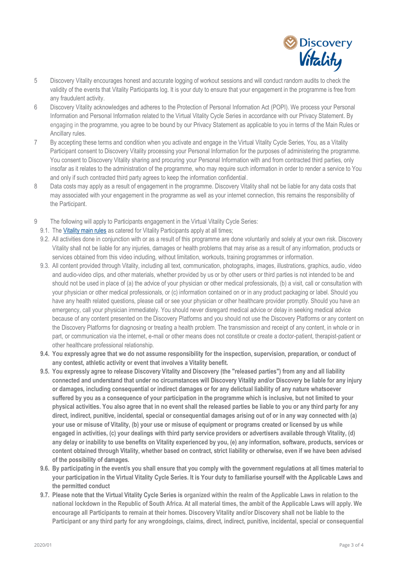

- 5 Discovery Vitality encourages honest and accurate logging of workout sessions and will conduct random audits to check the validity of the events that Vitality Participants log. It is your duty to ensure that your engagement in the programme is free from any fraudulent activity.
- 6 Discovery Vitality acknowledges and adheres to the Protection of Personal Information Act (POPI). We process your Personal Information and Personal Information related to the Virtual Vitality Cycle Series in accordance with our Privacy Statement. By engaging in the programme, you agree to be bound by our Privacy Statement as applicable to you in terms of the Main Rules or Ancillary rules.
- 7 By accepting these terms and condition when you activate and engage in the Virtual Vitality Cycle Series, You, as a Vitality Participant consent to Discovery Vitality processing your Personal Information for the purposes of administering the programme. You consent to Discovery Vitality sharing and procuring your Personal Information with and from contracted third parties, only insofar as it relates to the administration of the programme, who may require such information in order to render a service to You and only if such contracted third party agrees to keep the information confidential.
- 8 Data costs may apply as a result of engagement in the programme. Discovery Vitality shall not be liable for any data costs that may associated with your engagement in the programme as well as your internet connection, this remains the responsibility of the Participant.
- 9 The following will apply to Participants engagement in the Virtual Vitality Cycle Series:
- 9.1. Th[e Vitality main rules](https://www.discovery.co.za/portal/individual/vitality-rules) as catered for Vitality Participants apply at all times;
- 9.2. All activities done in conjunction with or as a result of this programme are done voluntarily and solely at your own risk. Discovery Vitality shall not be liable for any injuries, damages or health problems that may arise as a result of any information, products or services obtained from this video including, without limitation, workouts, training programmes or information.
- 9.3. All content provided through Vitality, including all text, communication, photographs, images, illustrations, graphics, audio, video and audio-video clips, and other materials, whether provided by us or by other users or third parties is not intended to be and should not be used in place of (a) the advice of your physician or other medical professionals, (b) a visit, call or consultation with your physician or other medical professionals, or (c) information contained on or in any product packaging or label. Should you have any health related questions, please call or see your physician or other healthcare provider promptly. Should you have an emergency, call your physician immediately. You should never disregard medical advice or delay in seeking medical advice because of any content presented on the Discovery Platforms and you should not use the Discovery Platforms or any content on the Discovery Platforms for diagnosing or treating a health problem. The transmission and receipt of any content, in whole or in part, or communication via the internet, e-mail or other means does not constitute or create a doctor-patient, therapist-patient or other healthcare professional relationship.
- **9.4. You expressly agree that we do not assume responsibility for the inspection, supervision, preparation, or conduct of any contest, athletic activity or event that involves a Vitality benefit.**
- **9.5. You expressly agree to release Discovery Vitality and Discovery (the "released parties") from any and all liability connected and understand that under no circumstances will Discovery Vitality and/or Discovery be liable for any injury or damages, including consequential or indirect damages or for any delictual liability of any nature whatsoever suffered by you as a consequence of your participation in the programme which is inclusive, but not limited to your physical activities. You also agree that in no event shall the released parties be liable to you or any third party for any direct, indirect, punitive, incidental, special or consequential damages arising out of or in any way connected with (a) your use or misuse of Vitality, (b) your use or misuse of equipment or programs created or licensed by us while engaged in activities, (c) your dealings with third party service providers or advertisers available through Vitality, (d) any delay or inability to use benefits on Vitality experienced by you, (e) any information, software, products, services or content obtained through Vitality, whether based on contract, strict liability or otherwise, even if we have been advised of the possibility of damages.**
- **9.6. By participating in the event/s you shall ensure that you comply with the government regulations at all times material to your participation in the Virtual Vitality Cycle Series. It is Your duty to familiarise yourself with the Applicable Laws and the permitted conduct**
- **9.7. Please note that the Virtual Vitality Cycle Series is organized within the realm of the Applicable Laws in relation to the national lockdown in the Republic of South Africa. At all material times, the ambit of the Applicable Laws will apply. We encourage all Participants to remain at their homes. Discovery Vitality and/or Discovery shall not be liable to the Participant or any third party for any wrongdoings, claims, direct, indirect, punitive, incidental, special or consequential**